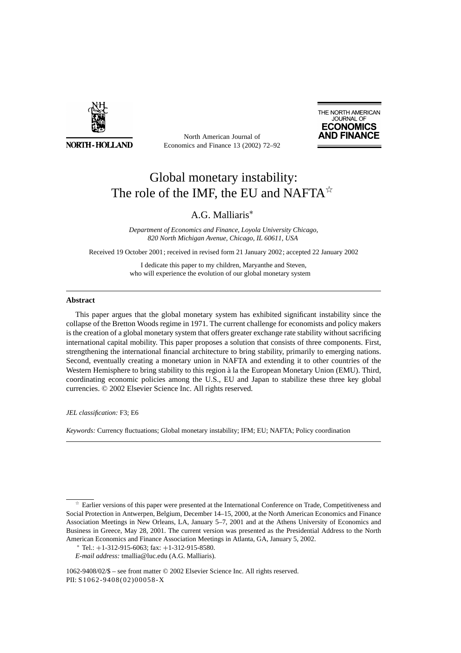

**NORTH-HOLLAND** 

North American Journal of Economics and Finance 13 (2002) 72–92



## Global monetary instability: The role of the IMF, the EU and NAFTA $\hat{X}$

### A.G. Malliaris∗

*Department of Economics and Finance, Loyola University Chicago, 820 North Michigan Avenue, Chicago, IL 60611, USA*

Received 19 October 2001; received in revised form 21 January 2002; accepted 22 January 2002

I dedicate this paper to my children, Maryanthe and Steven, who will experience the evolution of our global monetary system

#### **Abstract**

This paper argues that the global monetary system has exhibited significant instability since the collapse of the Bretton Woods regime in 1971. The current challenge for economists and policy makers is the creation of a global monetary system that offers greater exchange rate stability without sacrificing international capital mobility. This paper proposes a solution that consists of three components. First, strengthening the international financial architecture to bring stability, primarily to emerging nations. Second, eventually creating a monetary union in NAFTA and extending it to other countries of the Western Hemisphere to bring stability to this region à la the European Monetary Union (EMU). Third, coordinating economic policies among the U.S., EU and Japan to stabilize these three key global currencies. © 2002 Elsevier Science Inc. All rights reserved.

*JEL classification:* F3; E6

*Keywords:* Currency fluctuations; Global monetary instability; IFM; EU; NAFTA; Policy coordination

 $\hat{\tau}$  Earlier versions of this paper were presented at the International Conference on Trade, Competitiveness and Social Protection in Antwerpen, Belgium, December 14–15, 2000, at the North American Economics and Finance Association Meetings in New Orleans, LA, January 5–7, 2001 and at the Athens University of Economics and Business in Greece, May 28, 2001. The current version was presented as the Presidential Address to the North American Economics and Finance Association Meetings in Atlanta, GA, January 5, 2002.

 $*$  Tel.:  $+1-312-915-6063$ ; fax:  $+1-312-915-8580$ .

*E-mail address:* tmallia@luc.edu (A.G. Malliaris).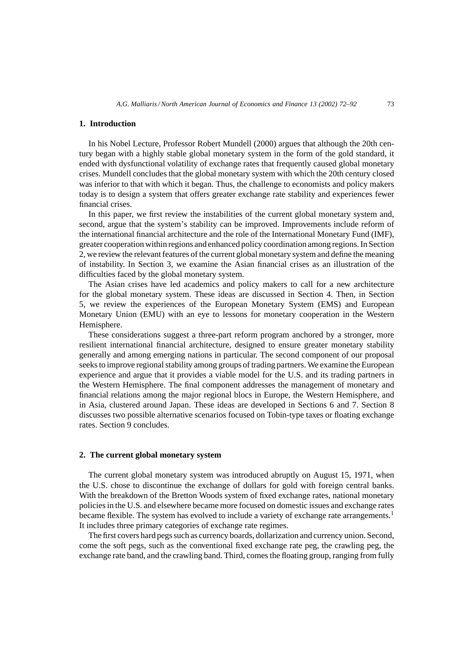#### **1. Introduction**

In his Nobel Lecture, Professor Robert Mundell (2000) argues that although the 20th century began with a highly stable global monetary system in the form of the gold standard, it ended with dysfunctional volatility of exchange rates that frequently caused global monetary crises. Mundell concludes that the global monetary system with which the 20th century closed was inferior to that with which it began. Thus, the challenge to economists and policy makers today is to design a system that offers greater exchange rate stability and experiences fewer financial crises.

In this paper, we first review the instabilities of the current global monetary system and, second, argue that the system's stability can be improved. Improvements include reform of the international financial architecture and the role of the International Monetary Fund (IMF), greater cooperation within regions and enhanced policy coordination among regions. In Section 2, we review the relevant features of the current global monetary system and define the meaning of instability. In Section 3, we examine the Asian financial crises as an illustration of the difficulties faced by the global monetary system.

The Asian crises have led academics and policy makers to call for a new architecture for the global monetary system. These ideas are discussed in Section 4. Then, in Section 5, we review the experiences of the European Monetary System (EMS) and European Monetary Union (EMU) with an eye to lessons for monetary cooperation in the Western Hemisphere.

These considerations suggest a three-part reform program anchored by a stronger, more resilient international financial architecture, designed to ensure greater monetary stability generally and among emerging nations in particular. The second component of our proposal seeks to improve regional stability among groups of trading partners. We examine the European experience and argue that it provides a viable model for the U.S. and its trading partners in the Western Hemisphere. The final component addresses the management of monetary and financial relations among the major regional blocs in Europe, the Western Hemisphere, and in Asia, clustered around Japan. These ideas are developed in Sections 6 and 7. Section 8 discusses two possible alternative scenarios focused on Tobin-type taxes or floating exchange rates. Section 9 concludes.

#### **2. The current global monetary system**

The current global monetary system was introduced abruptly on August 15, 1971, when the U.S. chose to discontinue the exchange of dollars for gold with foreign central banks. With the breakdown of the Bretton Woods system of fixed exchange rates, national monetary policies in the U.S. and elsewhere became more focused on domestic issues and exchange rates became flexible. The system has evolved to include a variety of exchange rate arrangements.<sup>1</sup> It includes three primary categories of exchange rate regimes.

The first covers hard pegs such as currency boards, dollarization and currency union. Second, come the soft pegs, such as the conventional fixed exchange rate peg, the crawling peg, the exchange rate band, and the crawling band. Third, comes the floating group, ranging from fully